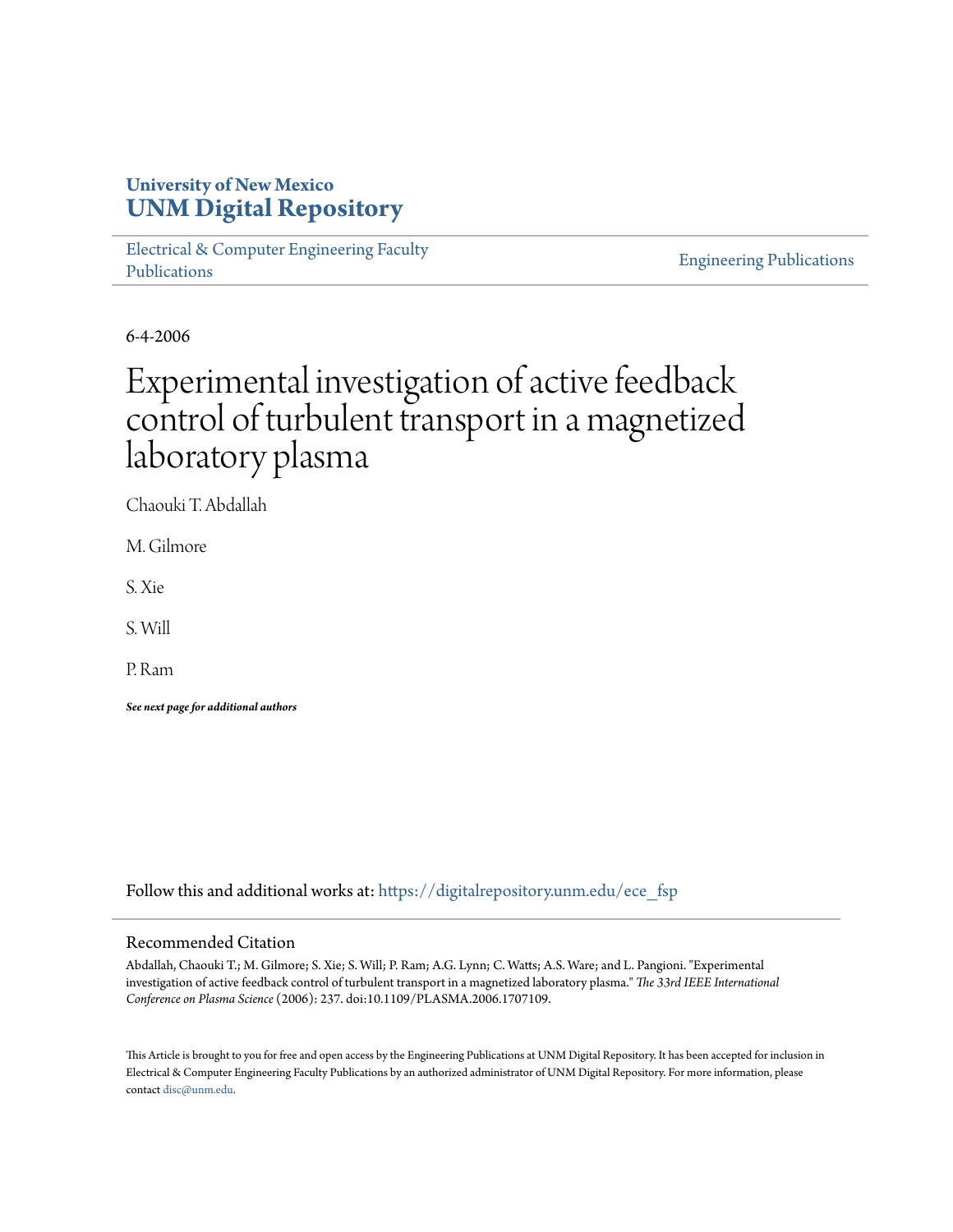# **University of New Mexico [UNM Digital Repository](https://digitalrepository.unm.edu?utm_source=digitalrepository.unm.edu%2Fece_fsp%2F173&utm_medium=PDF&utm_campaign=PDFCoverPages)**

[Electrical & Computer Engineering Faculty](https://digitalrepository.unm.edu/ece_fsp?utm_source=digitalrepository.unm.edu%2Fece_fsp%2F173&utm_medium=PDF&utm_campaign=PDFCoverPages) [Publications](https://digitalrepository.unm.edu/ece_fsp?utm_source=digitalrepository.unm.edu%2Fece_fsp%2F173&utm_medium=PDF&utm_campaign=PDFCoverPages)

[Engineering Publications](https://digitalrepository.unm.edu/eng_fsp?utm_source=digitalrepository.unm.edu%2Fece_fsp%2F173&utm_medium=PDF&utm_campaign=PDFCoverPages)

6-4-2006

# Experimental investigation of active feedback control of turbulent transport in a magnetized laboratory plasma

Chaouki T. Abdallah

M. Gilmore

S. Xie

S. Will

P. Ram

*See next page for additional authors*

Follow this and additional works at: [https://digitalrepository.unm.edu/ece\\_fsp](https://digitalrepository.unm.edu/ece_fsp?utm_source=digitalrepository.unm.edu%2Fece_fsp%2F173&utm_medium=PDF&utm_campaign=PDFCoverPages)

## Recommended Citation

Abdallah, Chaouki T.; M. Gilmore; S. Xie; S. Will; P. Ram; A.G. Lynn; C. Watts; A.S. Ware; and L. Pangioni. "Experimental investigation of active feedback control of turbulent transport in a magnetized laboratory plasma." *The 33rd IEEE International Conference on Plasma Science* (2006): 237. doi:10.1109/PLASMA.2006.1707109.

This Article is brought to you for free and open access by the Engineering Publications at UNM Digital Repository. It has been accepted for inclusion in Electrical & Computer Engineering Faculty Publications by an authorized administrator of UNM Digital Repository. For more information, please contact [disc@unm.edu.](mailto:disc@unm.edu)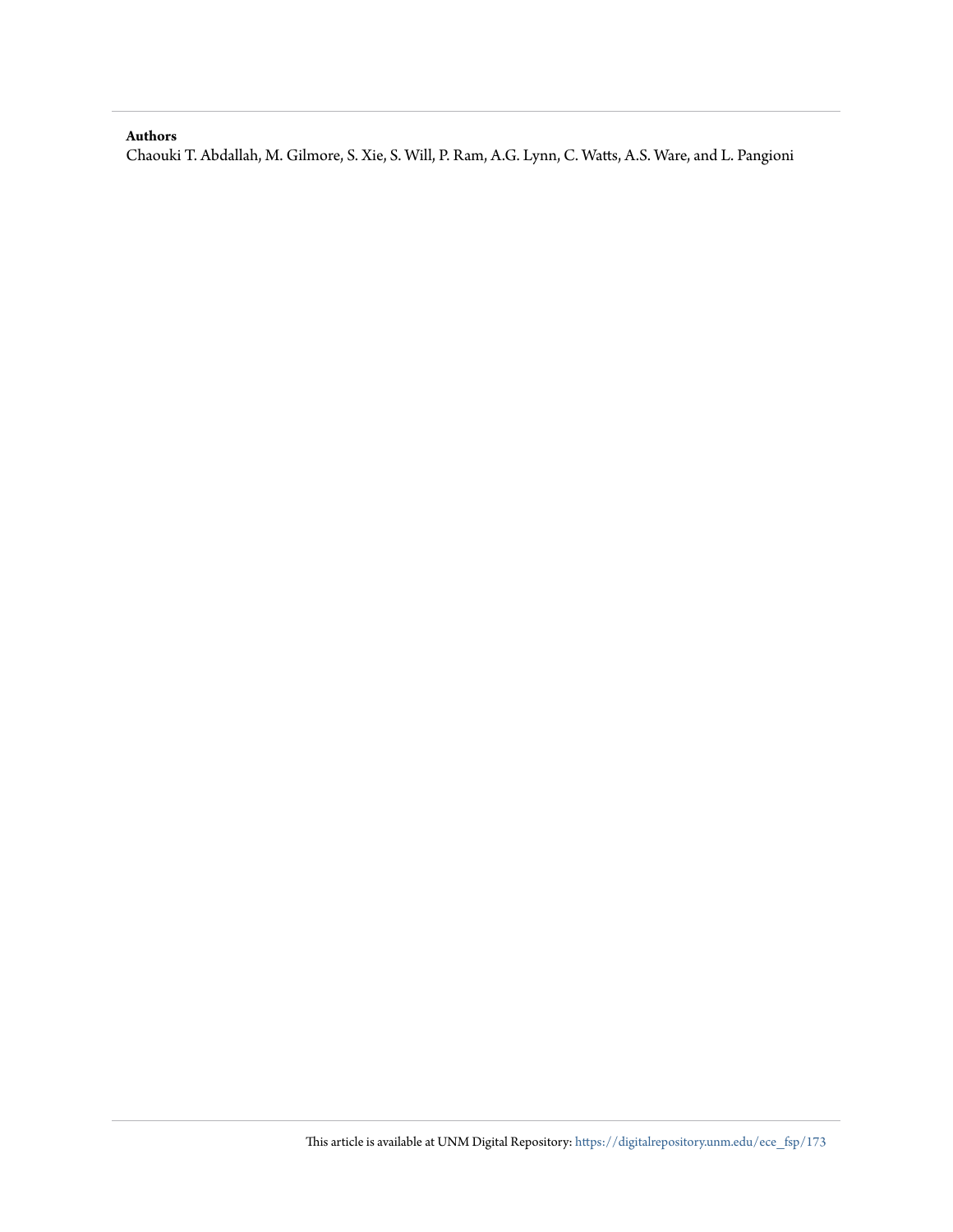#### **Authors**

Chaouki T. Abdallah, M. Gilmore, S. Xie, S. Will, P. Ram, A.G. Lynn, C. Watts, A.S. Ware, and L. Pangioni